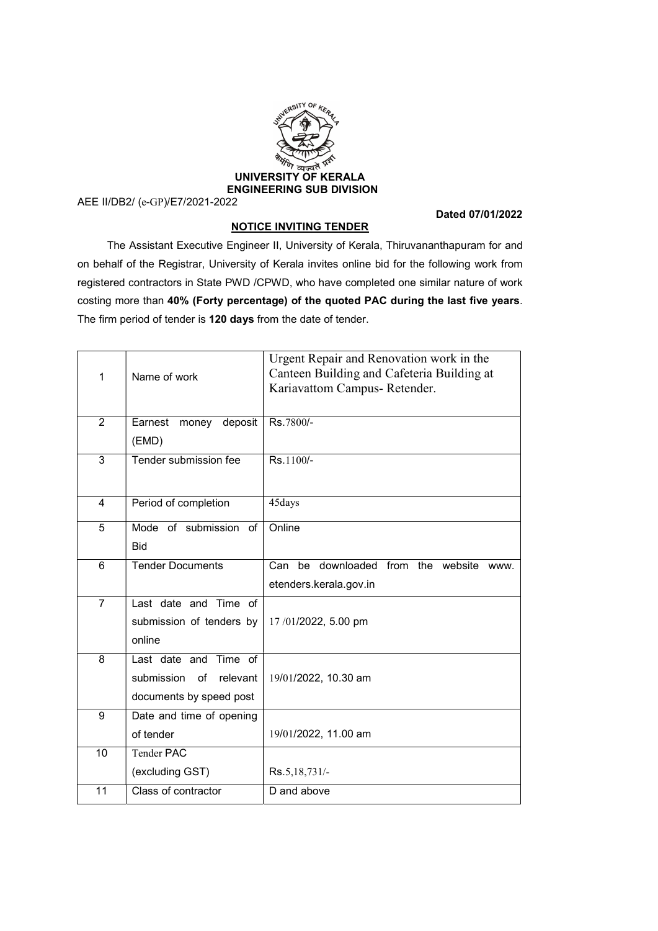

AEE II/DB2/ (e-GP)/E7/2021-2022

Dated 07/01/2022

## NOTICE INVITING TENDER

 The Assistant Executive Engineer II, University of Kerala, Thiruvananthapuram for and on behalf of the Registrar, University of Kerala invites online bid for the following work from registered contractors in State PWD /CPWD, who have completed one similar nature of work costing more than 40% (Forty percentage) of the quoted PAC during the last five years. The firm period of tender is 120 days from the date of tender.

| 1              | Name of work                                                                     | Urgent Repair and Renovation work in the<br>Canteen Building and Cafeteria Building at<br>Kariavattom Campus-Retender. |
|----------------|----------------------------------------------------------------------------------|------------------------------------------------------------------------------------------------------------------------|
| $\overline{2}$ | deposit<br>Earnest<br>money<br>(EMD)                                             | Rs.7800/-                                                                                                              |
| 3              | Tender submission fee                                                            | Rs.1100/-                                                                                                              |
| 4              | Period of completion                                                             | 45days                                                                                                                 |
| 5              | Mode of submission of<br><b>Bid</b>                                              | Online                                                                                                                 |
| 6              | <b>Tender Documents</b>                                                          | be downloaded from the website www.<br>Can<br>etenders.kerala.gov.in                                                   |
| $\overline{7}$ | Last date and Time of<br>submission of tenders by<br>online                      | 17/01/2022, 5.00 pm                                                                                                    |
| 8              | Last date and Time of<br>submission<br>of<br>relevant<br>documents by speed post | 19/01/2022, 10.30 am                                                                                                   |
| 9              | Date and time of opening<br>of tender                                            | 19/01/2022, 11.00 am                                                                                                   |
| 10             | <b>Tender PAC</b><br>(excluding GST)                                             | Rs.5,18,731/-                                                                                                          |
| 11             | Class of contractor                                                              | D and above                                                                                                            |